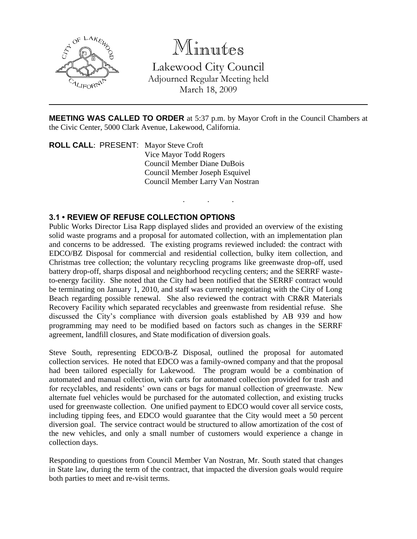

# Minutes

Lakewood City Council Adjourned Regular Meeting held March 18, 2009

**MEETING WAS CALLED TO ORDER** at 5:37 p.m. by Mayor Croft in the Council Chambers at the Civic Center, 5000 Clark Avenue, Lakewood, California.

. . .

**ROLL CALL**: PRESENT: Mayor Steve Croft Vice Mayor Todd Rogers Council Member Diane DuBois Council Member Joseph Esquivel Council Member Larry Van Nostran

## **3.1 • REVIEW OF REFUSE COLLECTION OPTIONS**

Public Works Director Lisa Rapp displayed slides and provided an overview of the existing solid waste programs and a proposal for automated collection, with an implementation plan and concerns to be addressed. The existing programs reviewed included: the contract with EDCO/BZ Disposal for commercial and residential collection, bulky item collection, and Christmas tree collection; the voluntary recycling programs like greenwaste drop-off, used battery drop-off, sharps disposal and neighborhood recycling centers; and the SERRF wasteto-energy facility. She noted that the City had been notified that the SERRF contract would be terminating on January 1, 2010, and staff was currently negotiating with the City of Long Beach regarding possible renewal. She also reviewed the contract with CR&R Materials Recovery Facility which separated recyclables and greenwaste from residential refuse. She discussed the City's compliance with diversion goals established by AB 939 and how programming may need to be modified based on factors such as changes in the SERRF agreement, landfill closures, and State modification of diversion goals.

Steve South, representing EDCO/B-Z Disposal, outlined the proposal for automated collection services. He noted that EDCO was a family-owned company and that the proposal had been tailored especially for Lakewood. The program would be a combination of automated and manual collection, with carts for automated collection provided for trash and for recyclables, and residents' own cans or bags for manual collection of greenwaste. New alternate fuel vehicles would be purchased for the automated collection, and existing trucks used for greenwaste collection. One unified payment to EDCO would cover all service costs, including tipping fees, and EDCO would guarantee that the City would meet a 50 percent diversion goal. The service contract would be structured to allow amortization of the cost of the new vehicles, and only a small number of customers would experience a change in collection days.

Responding to questions from Council Member Van Nostran, Mr. South stated that changes in State law, during the term of the contract, that impacted the diversion goals would require both parties to meet and re-visit terms.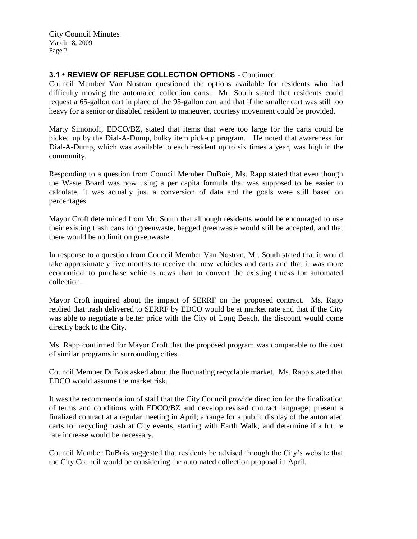City Council Minutes March 18, 2009 Page 2

### **3.1 • REVIEW OF REFUSE COLLECTION OPTIONS** - Continued

Council Member Van Nostran questioned the options available for residents who had difficulty moving the automated collection carts. Mr. South stated that residents could request a 65-gallon cart in place of the 95-gallon cart and that if the smaller cart was still too heavy for a senior or disabled resident to maneuver, courtesy movement could be provided.

Marty Simonoff, EDCO/BZ, stated that items that were too large for the carts could be picked up by the Dial-A-Dump, bulky item pick-up program. He noted that awareness for Dial-A-Dump, which was available to each resident up to six times a year, was high in the community.

Responding to a question from Council Member DuBois, Ms. Rapp stated that even though the Waste Board was now using a per capita formula that was supposed to be easier to calculate, it was actually just a conversion of data and the goals were still based on percentages.

Mayor Croft determined from Mr. South that although residents would be encouraged to use their existing trash cans for greenwaste, bagged greenwaste would still be accepted, and that there would be no limit on greenwaste.

In response to a question from Council Member Van Nostran, Mr. South stated that it would take approximately five months to receive the new vehicles and carts and that it was more economical to purchase vehicles news than to convert the existing trucks for automated collection.

Mayor Croft inquired about the impact of SERRF on the proposed contract. Ms. Rapp replied that trash delivered to SERRF by EDCO would be at market rate and that if the City was able to negotiate a better price with the City of Long Beach, the discount would come directly back to the City.

Ms. Rapp confirmed for Mayor Croft that the proposed program was comparable to the cost of similar programs in surrounding cities.

Council Member DuBois asked about the fluctuating recyclable market. Ms. Rapp stated that EDCO would assume the market risk.

It was the recommendation of staff that the City Council provide direction for the finalization of terms and conditions with EDCO/BZ and develop revised contract language; present a finalized contract at a regular meeting in April; arrange for a public display of the automated carts for recycling trash at City events, starting with Earth Walk; and determine if a future rate increase would be necessary.

Council Member DuBois suggested that residents be advised through the City's website that the City Council would be considering the automated collection proposal in April.